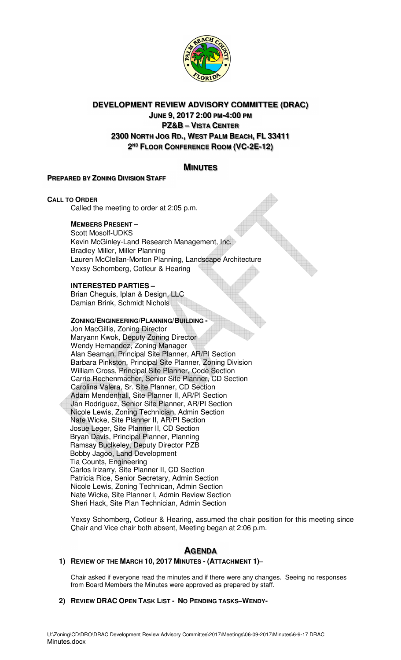

# **DEVELOPMENT REVIEW ADVISORY COMMITTEE (DRAC)**

**JUNE 9, 2017 2:00 PM-4:00 PM PZ&B – VISTA CENTER 2300 NORTH JOG RD., WEST PALM BEACH, FL 33411 2 ND FLOOR CONFERENCE ROOM (VC-2E-12)**

# **MINUTES**

# **PREPARED BY ZONING DIVISION STAFF**

# **CALL TO ORDER**

Called the meeting to order at 2:05 p.m.

# **MEMBERS PRESENT –**

Scott Mosolf-UDKS Kevin McGinley-Land Research Management, Inc. Bradley Miller, Miller Planning Lauren McClellan-Morton Planning, Landscape Architecture Yexsy Schomberg, Cotleur & Hearing

# **INTERESTED PARTIES –**

Brian Cheguis, Iplan & Design, LLC Damian Brink, Schmidt Nichols

# **ZONING/ENGINEERING/PLANNING/BUILDING -**

Jon MacGillis, Zoning Director Maryann Kwok, Deputy Zoning Director Wendy Hernandez, Zoning Manager Alan Seaman, Principal Site Planner, AR/PI Section Barbara Pinkston, Principal Site Planner, Zoning Division William Cross, Principal Site Planner, Code Section Carrie Rechenmacher, Senior Site Planner, CD Section Carolina Valera, Sr. Site Planner, CD Section Adam Mendenhall, Site Planner II, AR/PI Section Jan Rodriguez, Senior Site Planner, AR/PI Section Nicole Lewis, Zoning Technician, Admin Section Nate Wicke, Site Planner II, AR/PI Section Josue Leger, Site Planner II, CD Section Bryan Davis, Principal Planner, Planning Ramsay Buclkeley, Deputy Director PZB Bobby Jagoo, Land Development Tia Counts, Engineering Carlos Irizarry, Site Planner II, CD Section Patricia Rice, Senior Secretary, Admin Section Nicole Lewis, Zoning Technican, Admin Section Nate Wicke, Site Planner I, Admin Review Section Sheri Hack, Site Plan Technician, Admin Section

Yexsy Schomberg, Cotleur & Hearing, assumed the chair position for this meeting since Chair and Vice chair both absent, Meeting began at 2:06 p.m.

# **AGENDA**

# **1) REVIEW OF THE MARCH 10, 2017 MINUTES - (ATTACHMENT 1)–**

Chair asked if everyone read the minutes and if there were any changes. Seeing no responses from Board Members the Minutes were approved as prepared by staff.

# **2) REVIEW DRAC OPEN TASK LIST - NO PENDING TASKS–WENDY-**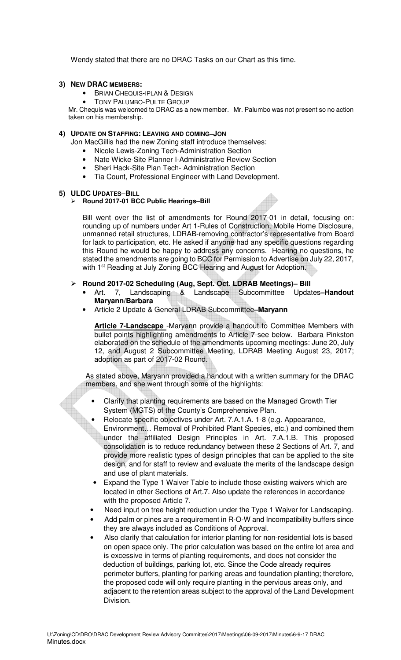Wendy stated that there are no DRAC Tasks on our Chart as this time.

#### **3) NEW DRAC MEMBERS:**

- **BRIAN CHEQUIS-IPLAN & DESIGN**
- **TONY PALUMBO-PULTE GROUP**

Mr. Chequis was welcomed to DRAC as a new member. Mr. Palumbo was not present so no action taken on his membership.

#### **4) UPDATE ON STAFFING: LEAVING AND COMING–JON**

Jon MacGillis had the new Zoning staff introduce themselves:

- Nicole Lewis-Zoning Tech-Administration Section
- Nate Wicke-Site Planner I-Administrative Review Section
- Sheri Hack-Site Plan Tech- Administration Section
- Tia Count, Professional Engineer with Land Development.

#### **5) ULDC UPDATES**–**BILL**

#### **Round 2017-01 BCC Public Hearings–Bill**

Bill went over the list of amendments for Round 2017-01 in detail, focusing on: rounding up of numbers under Art 1-Rules of Construction, Mobile Home Disclosure, unmanned retail structures, LDRAB-removing contractor's representative from Board for lack to participation, etc. He asked if anyone had any specific questions regarding this Round he would be happy to address any concerns. Hearing no questions, he stated the amendments are going to BCC for Permission to Advertise on July 22, 2017, with 1<sup>st</sup> Reading at July Zoning BCC Hearing and August for Adoption.

### **Round 2017-02 Scheduling (Aug, Sept. Oct. LDRAB Meetings)– Bill**

- Art. 7, Landscaping & Landscape Subcommittee Updates**–Handout Maryann/Barbara**
- Article 2 Update & General LDRAB Subcommittee**–Maryann**

**Article 7-Landscape** -Maryann provide a handout to Committee Members with bullet points highlighting amendments to Article 7-see below. Barbara Pinkston elaborated on the schedule of the amendments upcoming meetings: June 20, July 12, and August 2 Subcommittee Meeting, LDRAB Meeting August 23, 2017; adoption as part of 2017-02 Round.

As stated above, Maryann provided a handout with a written summary for the DRAC members, and she went through some of the highlights:

- Clarify that planting requirements are based on the Managed Growth Tier System (MGTS) of the County's Comprehensive Plan.
- Relocate specific objectives under Art. 7.A.1.A. 1-8 (e.g. Appearance,
- Environment… Removal of Prohibited Plant Species, etc.) and combined them under the affiliated Design Principles in Art. 7.A.1.B. This proposed consolidation is to reduce redundancy between these 2 Sections of Art. 7, and provide more realistic types of design principles that can be applied to the site design, and for staff to review and evaluate the merits of the landscape design and use of plant materials.
- Expand the Type 1 Waiver Table to include those existing waivers which are located in other Sections of Art.7. Also update the references in accordance with the proposed Article 7.
- Need input on tree height reduction under the Type 1 Waiver for Landscaping.
- Add palm or pines are a requirement in R-O-W and Incompatibility buffers since they are always included as Conditions of Approval.
- Also clarify that calculation for interior planting for non-residential lots is based on open space only. The prior calculation was based on the entire lot area and is excessive in terms of planting requirements, and does not consider the deduction of buildings, parking lot, etc. Since the Code already requires perimeter buffers, planting for parking areas and foundation planting; therefore, the proposed code will only require planting in the pervious areas only, and adjacent to the retention areas subject to the approval of the Land Development Division.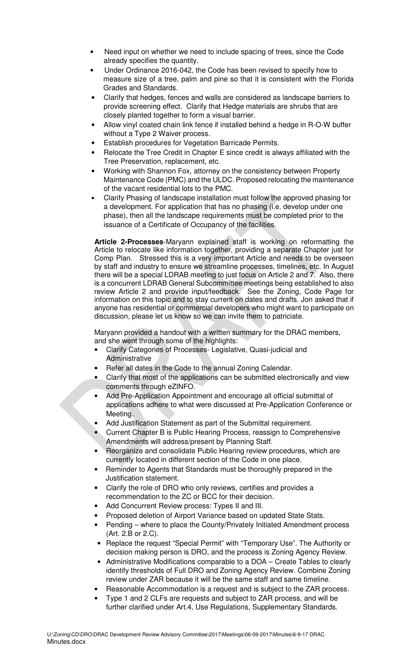- Need input on whether we need to include spacing of trees, since the Code already specifies the quantity.
- Under Ordinance 2016-042, the Code has been revised to specify how to measure size of a tree, palm and pine so that it is consistent with the Florida Grades and Standards.
- Clarify that hedges, fences and walls are considered as landscape barriers to provide screening effect. Clarify that Hedge materials are shrubs that are closely planted together to form a visual barrier.
- Allow vinyl coated chain link fence if installed behind a hedge in R-O-W buffer without a Type 2 Waiver process.
- Establish procedures for Vegetation Barricade Permits.
- Relocate the Tree Credit in Chapter E since credit is always affiliated with the Tree Preservation, replacement, etc.
- Working with Shannon Fox, attorney on the consistency between Property Maintenance Code (PMC) and the ULDC. Proposed relocating the maintenance of the vacant residential lots to the PMC.
- Clarify Phasing of landscape installation must follow the approved phasing for a development. For application that has no phasing (i.e. develop under one phase), then all the landscape requirements must be completed prior to the issuance of a Certificate of Occupancy of the facilities.

**Article 2-Processes**-Maryann explained staff is working on reformatting the Article to relocate like information together, providing a separate Chapter just for Comp Plan. Stressed this is a very important Article and needs to be overseen by staff and industry to ensure we streamline processes, timelines, etc. In August there will be a special LDRAB meeting to just focus on Article 2 and 7. Also, there is a concurrent LDRAB General Subcommittee meetings being established to also review Article 2 and provide input/feedback. See the Zoning, Code Page for information on this topic and to stay current on dates and drafts. Jon asked that if anyone has residential or commercial developers who might want to participate on discussion, please let us know so we can invite them to patriciate.

Maryann provided a handout with a written summary for the DRAC members, and she went through some of the highlights:

- Clarify Categories of Processes- Legislative, Quasi-judicial and Administrative
- Refer all dates in the Code to the annual Zoning Calendar.
- Clarify that most of the applications can be submitted electronically and view comments through eZINFO.
- Add Pre-Application Appointment and encourage all official submittal of applications adhere to what were discussed at Pre-Application Conference or Meeting.
- Add Justification Statement as part of the Submittal requirement.
- Current Chapter B is Public Hearing Process, reassign to Comprehensive Amendments will address/present by Planning Staff.
- Reorganize and consolidate Public Hearing review procedures, which are currently located in different section of the Code in one place.
- Reminder to Agents that Standards must be thoroughly prepared in the Justification statement.
- Clarify the role of DRO who only reviews, certifies and provides a recommendation to the ZC or BCC for their decision.
- Add Concurrent Review process: Types II and III.
- Proposed deletion of Airport Variance based on updated State Stats.
- Pending where to place the County/Privately Initiated Amendment process (Art. 2.B or 2.C).
- Replace the request "Special Permit" with "Temporary Use". The Authority or decision making person is DRO, and the process is Zoning Agency Review.
- Administrative Modifications comparable to a DOA Create Tables to clearly identify thresholds of Full DRO and Zoning Agency Review. Combine Zoning review under ZAR because it will be the same staff and same timeline.
- Reasonable Accommodation is a request and is subject to the ZAR process.
- Type 1 and 2 CLFs are requests and subject to ZAR process, and will be further clarified under Art.4, Use Regulations, Supplementary Standards.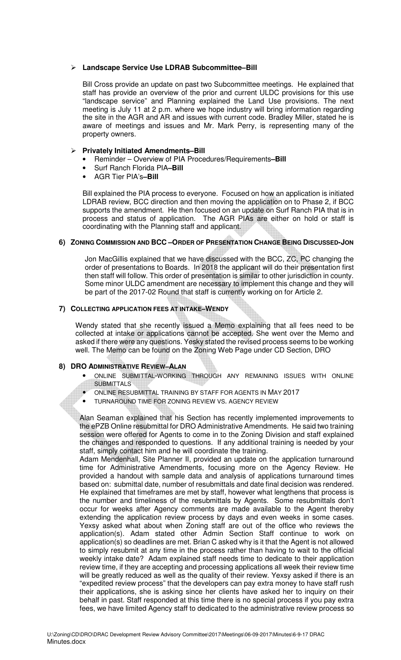# **Landscape Service Use LDRAB Subcommittee–Bill**

Bill Cross provide an update on past two Subcommittee meetings. He explained that staff has provide an overview of the prior and current ULDC provisions for this use "landscape service" and Planning explained the Land Use provisions. The next meeting is July 11 at 2 p.m. where we hope industry will bring information regarding the site in the AGR and AR and issues with current code. Bradley Miller, stated he is aware of meetings and issues and Mr. Mark Perry, is representing many of the property owners.

# **Privately Initiated Amendments–Bill**

- Reminder Overview of PIA Procedures/Requirements**–Bill**
- Surf Ranch Florida PIA**–Bill**
- AGR Tier PIA's**–Bill**

Bill explained the PIA process to everyone. Focused on how an application is initiated LDRAB review, BCC direction and then moving the application on to Phase 2, if BCC supports the amendment. He then focused on an update on Surf Ranch PIA that is in process and status of application. The AGR PIAs are either on hold or staff is coordinating with the Planning staff and applicant.

# **6) ZONING COMMISSION AND BCC –ORDER OF PRESENTATION CHANGE BEING DISCUSSED-JON**

Jon MacGillis explained that we have discussed with the BCC, ZC, PC changing the order of presentations to Boards. In 2018 the applicant will do their presentation first then staff will follow. This order of presentation is similar to other jurisdiction in county. Some minor ULDC amendment are necessary to implement this change and they will be part of the 2017-02 Round that staff is currently working on for Article 2.

# **7) COLLECTING APPLICATION FEES AT INTAKE–WENDY**

Wendy stated that she recently issued a Memo explaining that all fees need to be collected at intake or applications cannot be accepted. She went over the Memo and asked if there were any questions. Yesky stated the revised process seems to be working well. The Memo can be found on the Zoning Web Page under CD Section, DRO

# **8) DRO ADMINISTRATIVE REVIEW–ALAN**

- ONLINE SUBMITTAL-WORKING THROUGH ANY REMAINING ISSUES WITH ONLINE **SUBMITTALS**
- ONLINE RESUBMITTAL TRAINING BY STAFF FOR AGENTS IN MAY 2017
- TURNAROUND TIME FOR ZONING REVIEW VS. AGENCY REVIEW

Alan Seaman explained that his Section has recently implemented improvements to the ePZB Online resubmittal for DRO Administrative Amendments. He said two training session were offered for Agents to come in to the Zoning Division and staff explained the changes and responded to questions. If any additional training is needed by your staff, simply contact him and he will coordinate the training.

Adam Mendenhall, Site Planner II, provided an update on the application turnaround time for Administrative Amendments, focusing more on the Agency Review. He provided a handout with sample data and analysis of applications turnaround times based on: submittal date, number of resubmittals and date final decision was rendered. He explained that timeframes are met by staff, however what lengthens that process is the number and timeliness of the resubmittals by Agents. Some resubmittals don't occur for weeks after Agency comments are made available to the Agent thereby extending the application review process by days and even weeks in some cases. Yexsy asked what about when Zoning staff are out of the office who reviews the application(s). Adam stated other Admin Section Staff continue to work on application(s) so deadlines are met. Brian C asked why is it that the Agent is not allowed to simply resubmit at any time in the process rather than having to wait to the official weekly intake date? Adam explained staff needs time to dedicate to their application review time, if they are accepting and processing applications all week their review time will be greatly reduced as well as the quality of their review. Yexsy asked if there is an "expedited review process" that the developers can pay extra money to have staff rush their applications, she is asking since her clients have asked her to inquiry on their behalf in past. Staff responded at this time there is no special process if you pay extra fees, we have limited Agency staff to dedicated to the administrative review process so